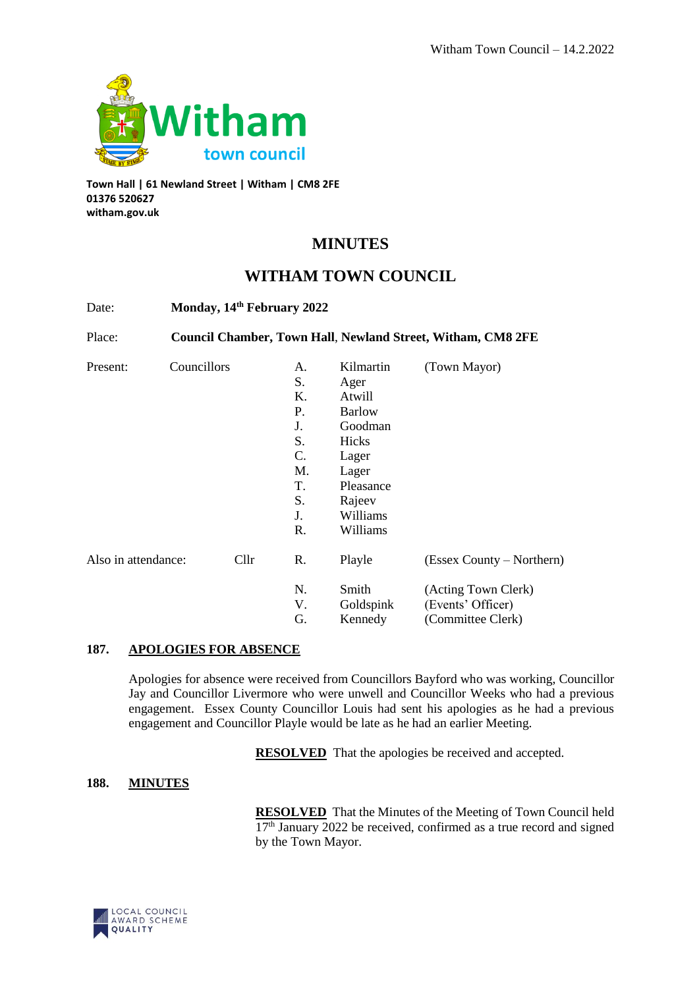

**Town Hall | 61 Newland Street | Witham | CM8 2FE 01376 520627 witham.gov.uk**

# **MINUTES**

# **WITHAM TOWN COUNCIL**

| Date:               | Monday, 14th February 2022<br><b>Council Chamber, Town Hall, Newland Street, Witham, CM8 2FE</b> |      |                 |               |                           |
|---------------------|--------------------------------------------------------------------------------------------------|------|-----------------|---------------|---------------------------|
| Place:<br>Present:  |                                                                                                  |      |                 |               |                           |
|                     | Councillors                                                                                      |      | A.              | Kilmartin     | (Town Mayor)              |
|                     |                                                                                                  |      | S.              | Ager          |                           |
|                     |                                                                                                  |      | K.              | Atwill        |                           |
|                     |                                                                                                  |      | P.              | <b>Barlow</b> |                           |
|                     |                                                                                                  |      | J.              | Goodman       |                           |
|                     |                                                                                                  |      | S.              | Hicks         |                           |
|                     |                                                                                                  |      | $\mathcal{C}$ . | Lager         |                           |
|                     |                                                                                                  |      | M.              | Lager         |                           |
|                     |                                                                                                  |      | T.              | Pleasance     |                           |
|                     |                                                                                                  |      | S.              | Rajeev        |                           |
|                     |                                                                                                  |      | J.              | Williams      |                           |
|                     |                                                                                                  |      | R.              | Williams      |                           |
| Also in attendance: |                                                                                                  | Cllr | R.              | Playle        | (Essex County – Northern) |
|                     |                                                                                                  |      | N.              | Smith         | (Acting Town Clerk)       |
|                     |                                                                                                  |      | V.              | Goldspink     | (Events' Officer)         |
|                     |                                                                                                  |      | G.              | Kennedy       | (Committee Clerk)         |

## **187. APOLOGIES FOR ABSENCE**

Apologies for absence were received from Councillors Bayford who was working, Councillor Jay and Councillor Livermore who were unwell and Councillor Weeks who had a previous engagement. Essex County Councillor Louis had sent his apologies as he had a previous engagement and Councillor Playle would be late as he had an earlier Meeting.

**RESOLVED** That the apologies be received and accepted.

### **188. MINUTES**

**RESOLVED** That the Minutes of the Meeting of Town Council held 17<sup>th</sup> January 2022 be received, confirmed as a true record and signed by the Town Mayor.

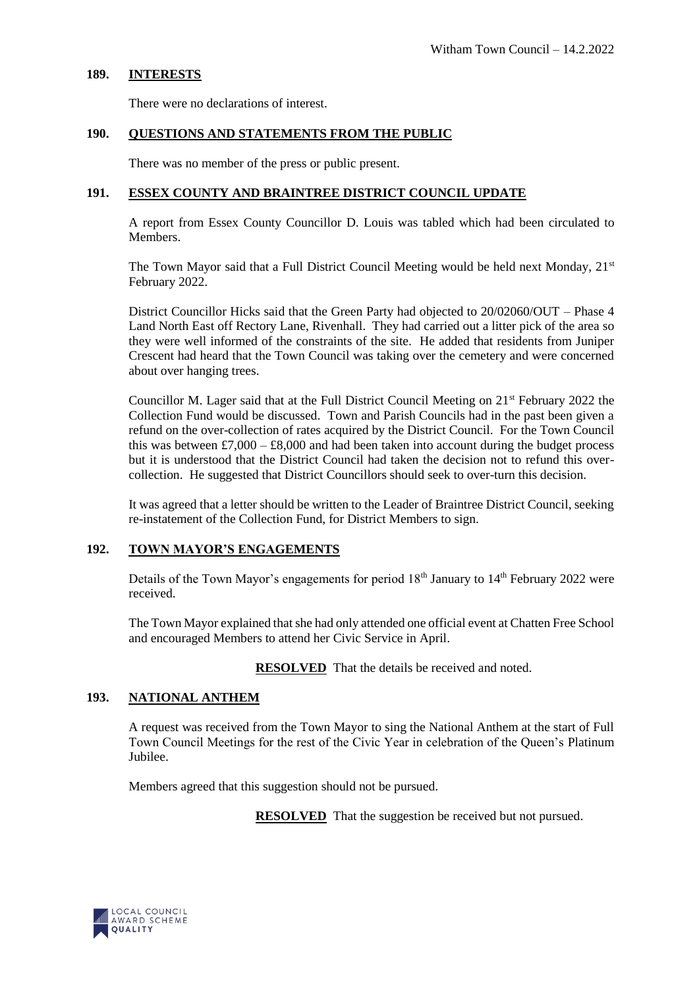### **189. INTERESTS**

There were no declarations of interest.

#### **190. QUESTIONS AND STATEMENTS FROM THE PUBLIC**

There was no member of the press or public present.

## **191. ESSEX COUNTY AND BRAINTREE DISTRICT COUNCIL UPDATE**

A report from Essex County Councillor D. Louis was tabled which had been circulated to Members.

The Town Mayor said that a Full District Council Meeting would be held next Monday,  $21<sup>st</sup>$ February 2022.

District Councillor Hicks said that the Green Party had objected to 20/02060/OUT – Phase 4 Land North East off Rectory Lane, Rivenhall. They had carried out a litter pick of the area so they were well informed of the constraints of the site. He added that residents from Juniper Crescent had heard that the Town Council was taking over the cemetery and were concerned about over hanging trees.

Councillor M. Lager said that at the Full District Council Meeting on 21<sup>st</sup> February 2022 the Collection Fund would be discussed. Town and Parish Councils had in the past been given a refund on the over-collection of rates acquired by the District Council. For the Town Council this was between £7,000 – £8,000 and had been taken into account during the budget process but it is understood that the District Council had taken the decision not to refund this overcollection. He suggested that District Councillors should seek to over-turn this decision.

It was agreed that a letter should be written to the Leader of Braintree District Council, seeking re-instatement of the Collection Fund, for District Members to sign.

# **192. TOWN MAYOR'S ENGAGEMENTS**

Details of the Town Mayor's engagements for period 18<sup>th</sup> January to 14<sup>th</sup> February 2022 were received.

The Town Mayor explained that she had only attended one official event at Chatten Free School and encouraged Members to attend her Civic Service in April.

**RESOLVED** That the details be received and noted.

### **193. NATIONAL ANTHEM**

A request was received from the Town Mayor to sing the National Anthem at the start of Full Town Council Meetings for the rest of the Civic Year in celebration of the Queen's Platinum Jubilee.

Members agreed that this suggestion should not be pursued.

**RESOLVED** That the suggestion be received but not pursued.

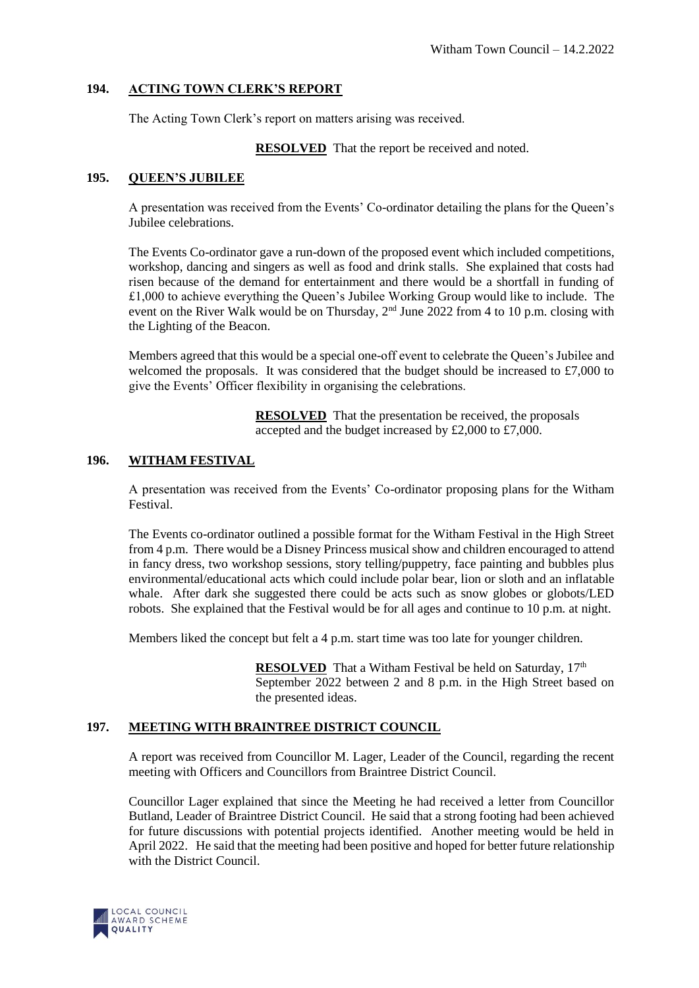## **194. ACTING TOWN CLERK'S REPORT**

The Acting Town Clerk's report on matters arising was received.

**RESOLVED** That the report be received and noted.

## **195. QUEEN'S JUBILEE**

A presentation was received from the Events' Co-ordinator detailing the plans for the Queen's Jubilee celebrations.

The Events Co-ordinator gave a run-down of the proposed event which included competitions, workshop, dancing and singers as well as food and drink stalls. She explained that costs had risen because of the demand for entertainment and there would be a shortfall in funding of £1,000 to achieve everything the Queen's Jubilee Working Group would like to include. The event on the River Walk would be on Thursday, 2<sup>nd</sup> June 2022 from 4 to 10 p.m. closing with the Lighting of the Beacon.

Members agreed that this would be a special one-off event to celebrate the Queen's Jubilee and welcomed the proposals. It was considered that the budget should be increased to £7,000 to give the Events' Officer flexibility in organising the celebrations.

> **RESOLVED** That the presentation be received, the proposals accepted and the budget increased by £2,000 to £7,000.

## **196. WITHAM FESTIVAL**

A presentation was received from the Events' Co-ordinator proposing plans for the Witham Festival.

The Events co-ordinator outlined a possible format for the Witham Festival in the High Street from 4 p.m. There would be a Disney Princess musical show and children encouraged to attend in fancy dress, two workshop sessions, story telling/puppetry, face painting and bubbles plus environmental/educational acts which could include polar bear, lion or sloth and an inflatable whale. After dark she suggested there could be acts such as snow globes or globots/LED robots. She explained that the Festival would be for all ages and continue to 10 p.m. at night.

Members liked the concept but felt a 4 p.m. start time was too late for younger children.

**RESOLVED** That a Witham Festival be held on Saturday, 17<sup>th</sup> September 2022 between 2 and 8 p.m. in the High Street based on the presented ideas.

### **197. MEETING WITH BRAINTREE DISTRICT COUNCIL**

A report was received from Councillor M. Lager, Leader of the Council, regarding the recent meeting with Officers and Councillors from Braintree District Council.

Councillor Lager explained that since the Meeting he had received a letter from Councillor Butland, Leader of Braintree District Council. He said that a strong footing had been achieved for future discussions with potential projects identified. Another meeting would be held in April 2022. He said that the meeting had been positive and hoped for better future relationship with the District Council.

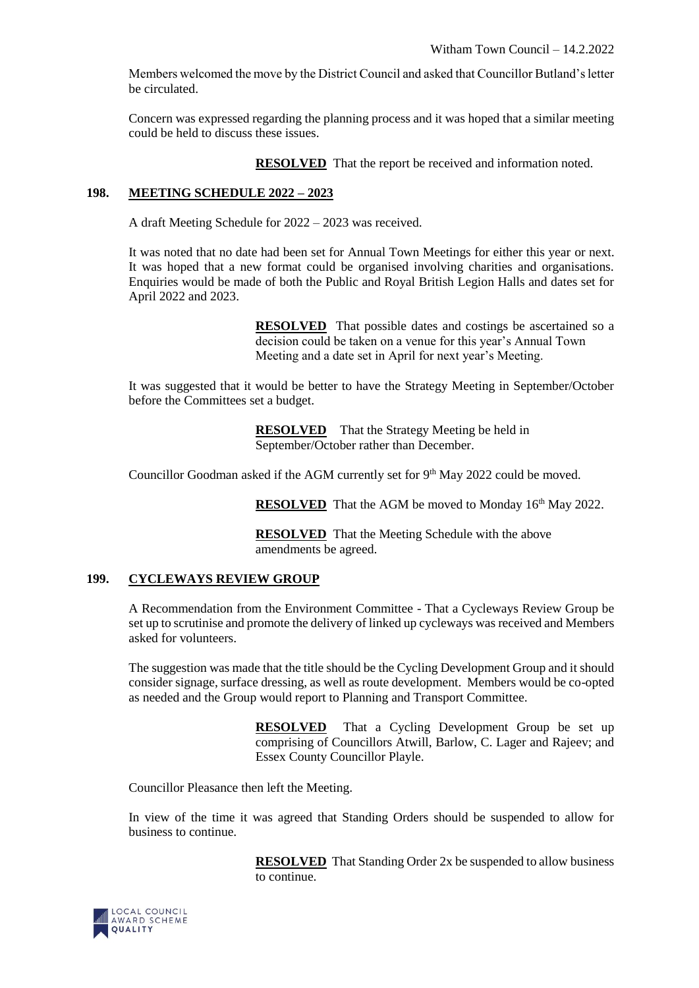Members welcomed the move by the District Council and asked that Councillor Butland's letter be circulated.

Concern was expressed regarding the planning process and it was hoped that a similar meeting could be held to discuss these issues.

**RESOLVED** That the report be received and information noted.

## **198. MEETING SCHEDULE 2022 – 2023**

A draft Meeting Schedule for 2022 – 2023 was received.

It was noted that no date had been set for Annual Town Meetings for either this year or next. It was hoped that a new format could be organised involving charities and organisations. Enquiries would be made of both the Public and Royal British Legion Halls and dates set for April 2022 and 2023.

> **RESOLVED** That possible dates and costings be ascertained so a decision could be taken on a venue for this year's Annual Town Meeting and a date set in April for next year's Meeting.

It was suggested that it would be better to have the Strategy Meeting in September/October before the Committees set a budget.

> **RESOLVED** That the Strategy Meeting be held in September/October rather than December.

Councillor Goodman asked if the AGM currently set for 9<sup>th</sup> May 2022 could be moved.

**RESOLVED** That the AGM be moved to Monday 16<sup>th</sup> May 2022.

**RESOLVED** That the Meeting Schedule with the above amendments be agreed.

### **199. CYCLEWAYS REVIEW GROUP**

A Recommendation from the Environment Committee - That a Cycleways Review Group be set up to scrutinise and promote the delivery of linked up cycleways was received and Members asked for volunteers.

The suggestion was made that the title should be the Cycling Development Group and it should consider signage, surface dressing, as well as route development. Members would be co-opted as needed and the Group would report to Planning and Transport Committee.

> **RESOLVED** That a Cycling Development Group be set up comprising of Councillors Atwill, Barlow, C. Lager and Rajeev; and Essex County Councillor Playle.

Councillor Pleasance then left the Meeting.

In view of the time it was agreed that Standing Orders should be suspended to allow for business to continue.

> **RESOLVED** That Standing Order 2x be suspended to allow business to continue.

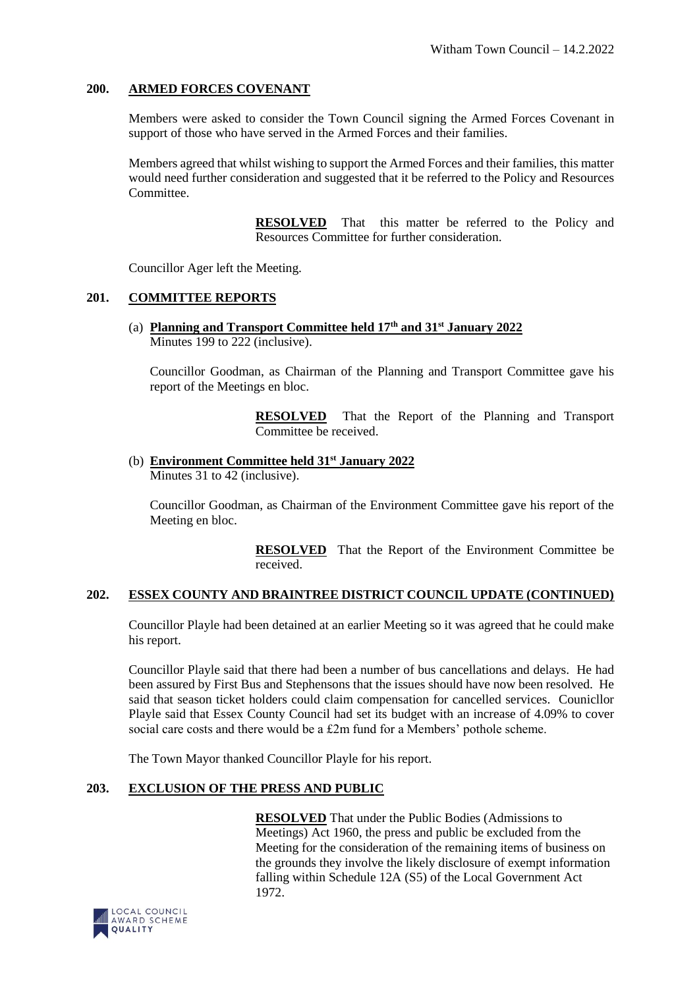### **200. ARMED FORCES COVENANT**

Members were asked to consider the Town Council signing the Armed Forces Covenant in support of those who have served in the Armed Forces and their families.

Members agreed that whilst wishing to support the Armed Forces and their families, this matter would need further consideration and suggested that it be referred to the Policy and Resources **Committee** 

> **RESOLVED** That this matter be referred to the Policy and Resources Committee for further consideration.

Councillor Ager left the Meeting.

### **201. COMMITTEE REPORTS**

(a) **Planning and Transport Committee held 17th and 31st January 2022**  Minutes 199 to 222 (inclusive).

Councillor Goodman, as Chairman of the Planning and Transport Committee gave his report of the Meetings en bloc.

> **RESOLVED** That the Report of the Planning and Transport Committee be received.

(b) **Environment Committee held 31st January 2022** Minutes 31 to 42 (inclusive).

Councillor Goodman, as Chairman of the Environment Committee gave his report of the Meeting en bloc.

> **RESOLVED** That the Report of the Environment Committee be received.

#### **202. ESSEX COUNTY AND BRAINTREE DISTRICT COUNCIL UPDATE (CONTINUED)**

Councillor Playle had been detained at an earlier Meeting so it was agreed that he could make his report.

Councillor Playle said that there had been a number of bus cancellations and delays. He had been assured by First Bus and Stephensons that the issues should have now been resolved. He said that season ticket holders could claim compensation for cancelled services. Counicllor Playle said that Essex County Council had set its budget with an increase of 4.09% to cover social care costs and there would be a £2m fund for a Members' pothole scheme.

The Town Mayor thanked Councillor Playle for his report.

## **203. EXCLUSION OF THE PRESS AND PUBLIC**

**RESOLVED** That under the Public Bodies (Admissions to Meetings) Act 1960, the press and public be excluded from the Meeting for the consideration of the remaining items of business on the grounds they involve the likely disclosure of exempt information falling within Schedule 12A (S5) of the Local Government Act 1972.